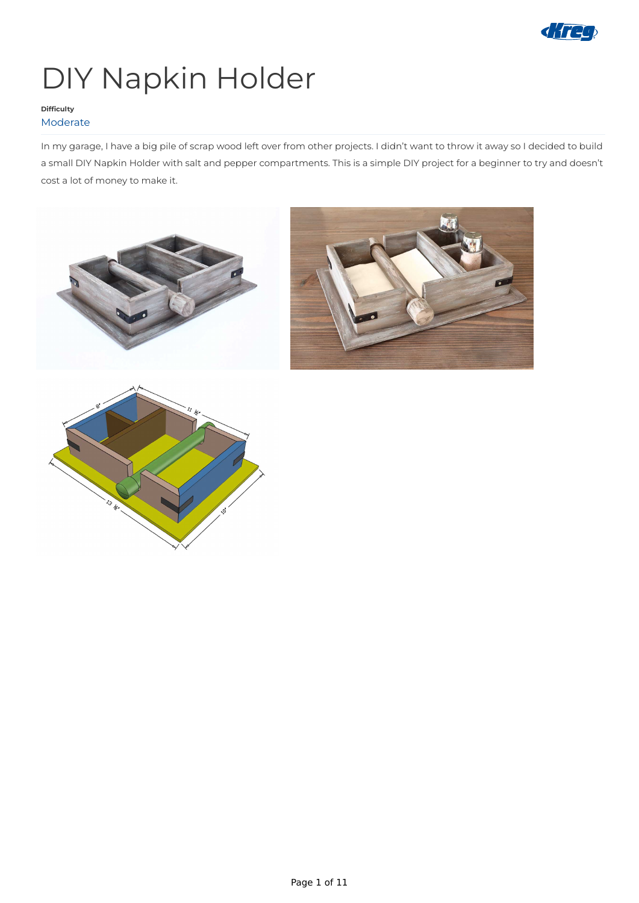

# DIY Napkin Holder

In my garage, I have a big pile of scrap wood left over from other projects. I didn't want to throw it away so I decided to build a small DIY Napkin Holder with salt and pepper compartments. This is a simple DIY project for a beginner to try and doesn't cost a lot of money to make it.







#### **Difficulty** Moderate

Page 1 of 11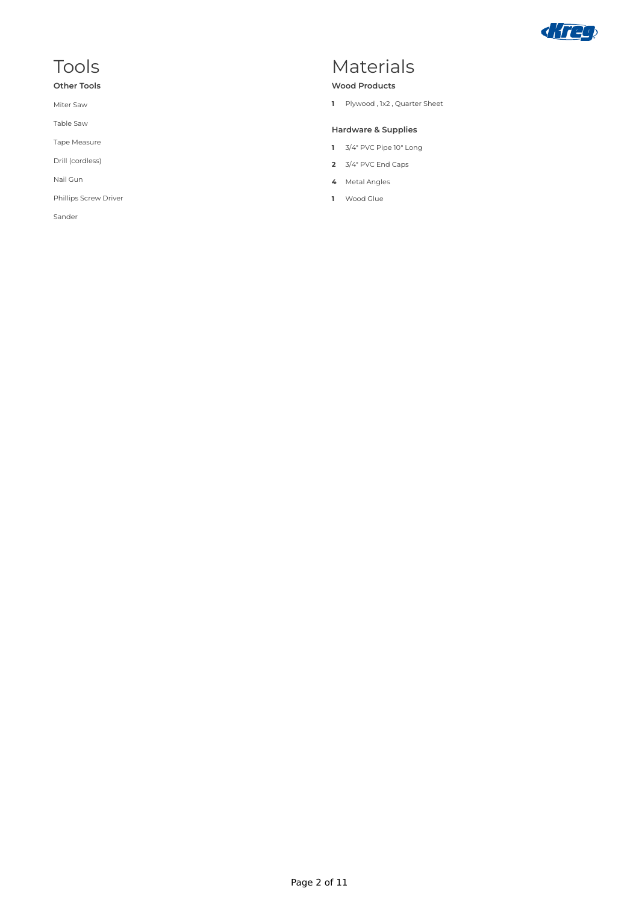Tools

**Other Tools**

Miter Saw

Table Saw

Tape Measure

Drill (cordless)

Nail Gun

Phillips Screw Driver

Sander



### Materials

#### **Wood Products**

**1** Plywood , 1x2 , Quarter Sheet

#### **Hardware & Supplies**

- **1** 3/4" PVC Pipe 10" Long
- **2** 3/4" PVC End Caps
- **4** Metal Angles
- **1** Wood Glue

Page 2 of 11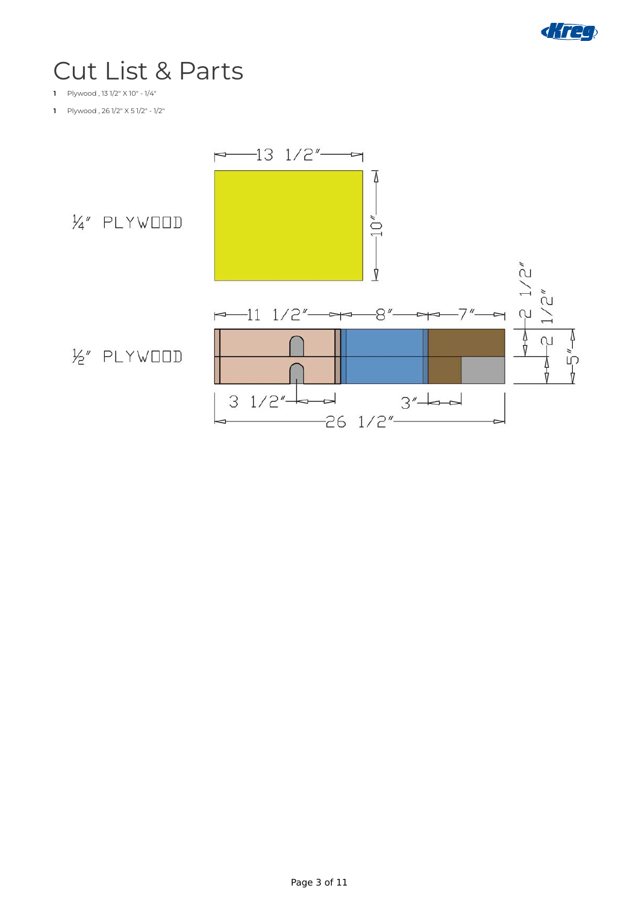

## Cut List & Parts

- **1** Plywood , 13 1/2" X 10" 1/4"
- **1** Plywood , 26 1/2" X 5 1/2" 1/2"



Page 3 of 11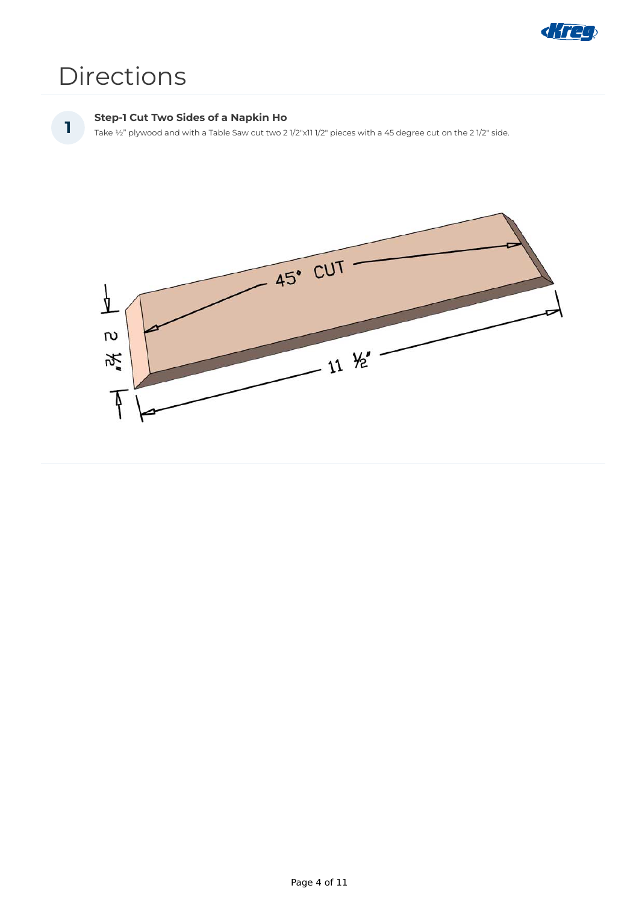

## Directions

#### **Step-1 Cut Two Sides of a Napkin Ho**

**1** Take ½" plywood and with a Table Saw cut two 2 1/2"x11 1/2" pieces with a 45 degree cut on the 2 1/2" side.



Page 4 of 11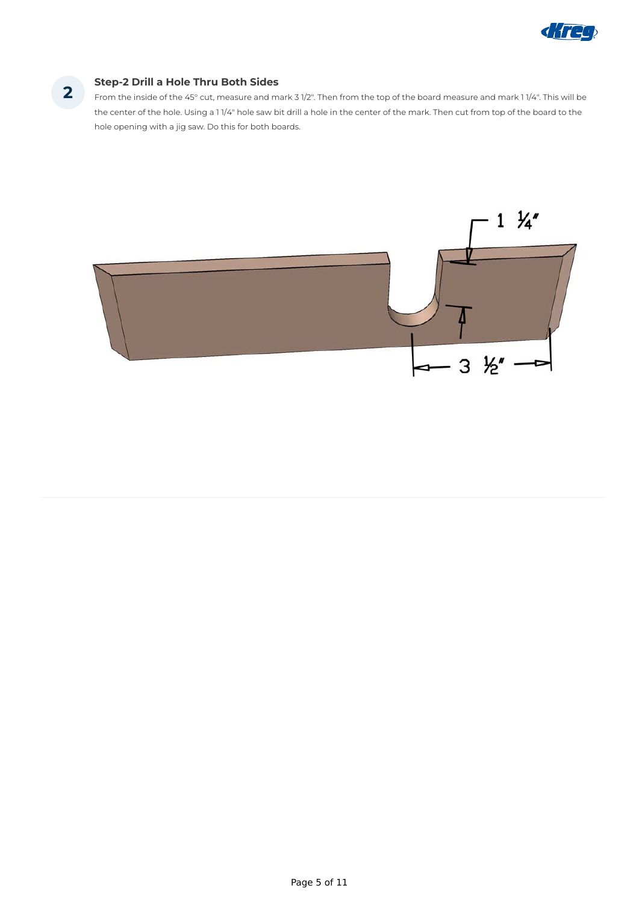

#### **Step-2 Drill a Hole Thru Both Sides 2**

From the inside of the 45° cut, measure and mark 3 1/2". Then from the top of the board measure and mark 1 1/4". This will be the center of the hole. Using a 1 1/4" hole saw bit drill a hole in the center of the mark. Then cut from top of the board to the hole opening with a jig saw. Do this for both boards.



Page 5 of 11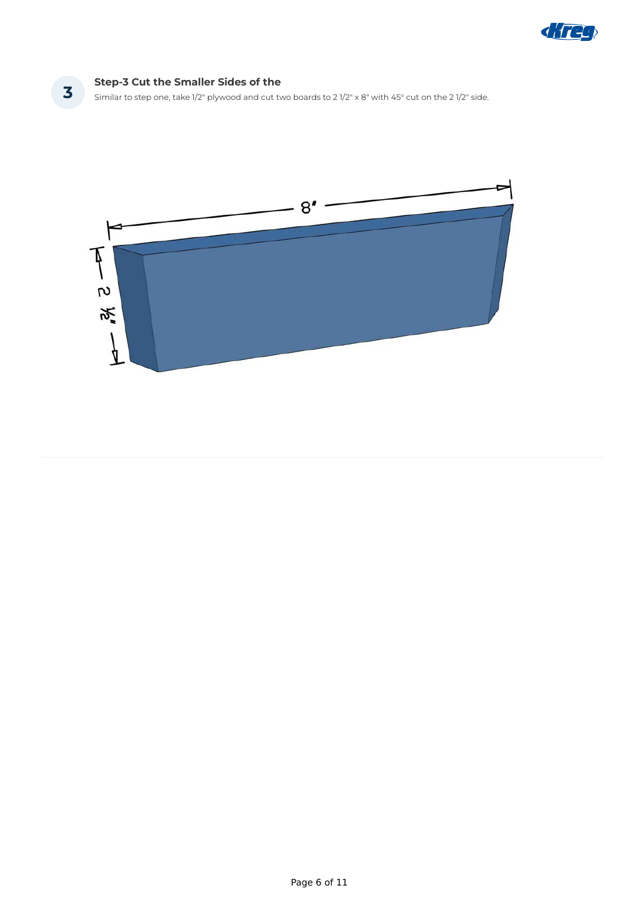

#### **Step-3 Cut the Smaller Sides of the**

**3 Step-3 Cut the Smaller sides of the**<br>Similar to step one, take 1/2" plywood and cut two boards to 2 1/2" x 8" with 45° cut on the 2 1/2" side.



Page 6 of 11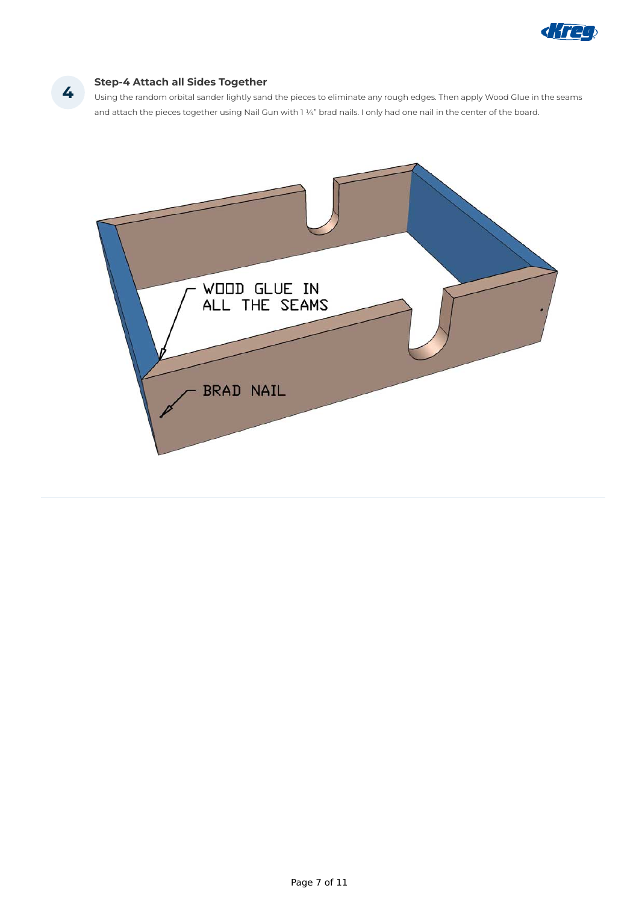

#### **Step-4 Attach all Sides Together**

Using the random orbital sander lightly sand the pieces to eliminate any rough edges. Then apply Wood Glue in the seams and attach the pieces together using Nail Gun with 1 1/4" brad nails. I only had one nail in the center of the board.



**4**

Page 7 of 11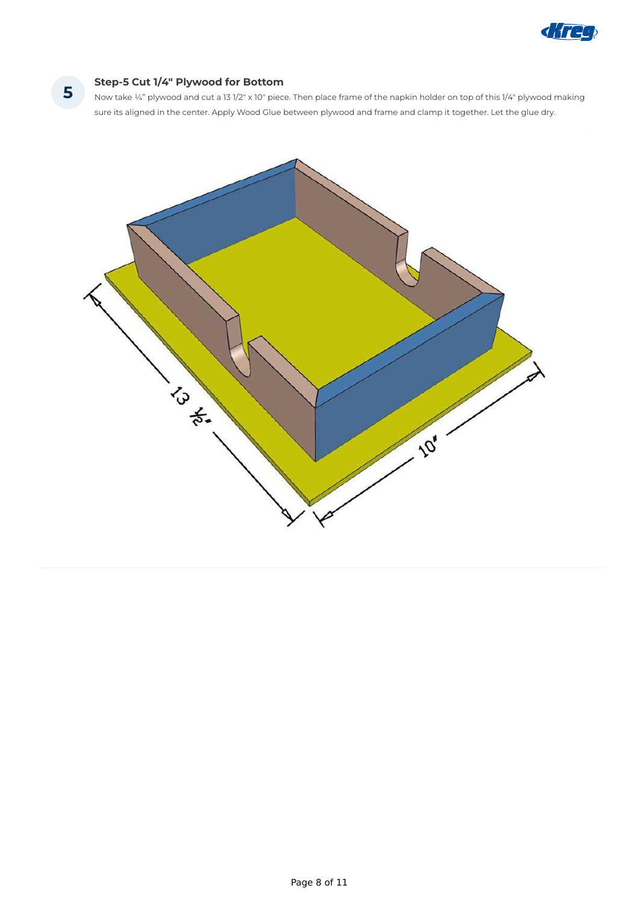

#### **Step-5 Cut 1/4" Plywood for Bottom**

Now take ¼" plywood and cut a 13 1/2" x 10" piece. Then place frame of the napkin holder on top of this 1/4" plywood making sure its aligned in the center. Apply Wood Glue between plywood and frame and clamp it together. Let the glue dry.



**5**

Page 8 of 11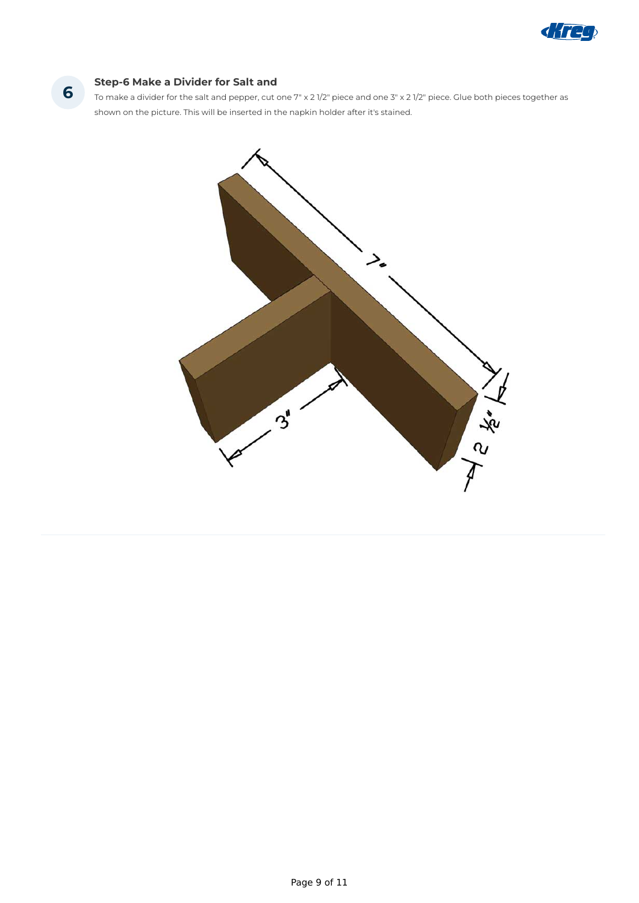

#### **Step-6 Make a Divider for Salt and**

To make a divider for the salt and pepper, cut one 7" x 2 1/2" piece and one 3" x 2 1/2" piece. Glue both pieces together as shown on the picture. This will be inserted in the napkin holder after it's stained.



**6**

Page 9 of 11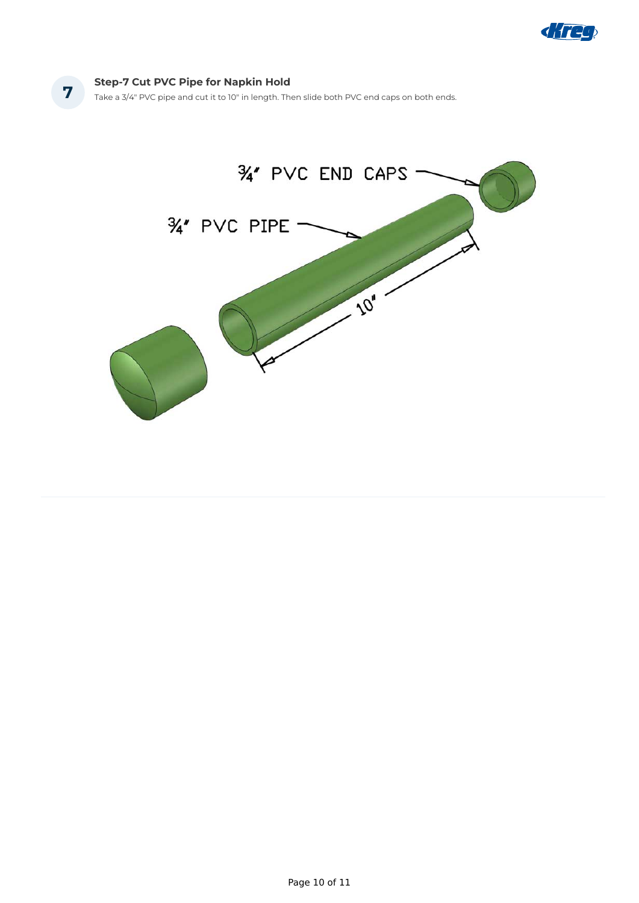

#### **Step-7 Cut PVC Pipe for Napkin Hold**

**7** Take a 3/4" PVC pipe and cut it to 10" in length. Then slide both PVC end caps on both ends.



Page 10 of 11